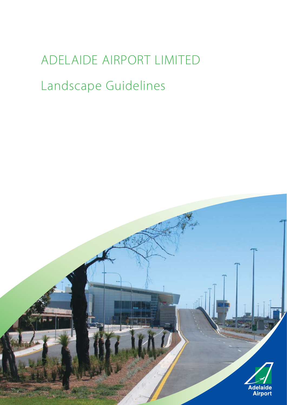# ADELAIDE AIRPORT LIMITED Landscape Guidelines

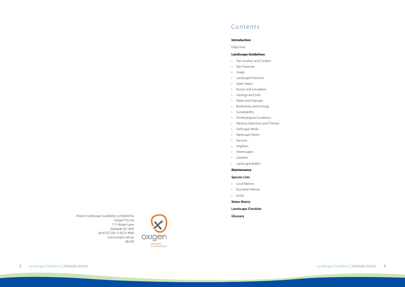2 Landscape Guidelines | Adelaide Airport Landscape Guidelines | Adelaide Airport 3

Airport Landscape Guidelines compiled by Oxigen Pty Ltd 7-11 Moger Lane Adelaide SA 5000 ph 81327200 fx 8223 4966 www.oxigen.net.au 08.049

### Contents

#### **Introduction**

Objectives

#### **Landscape Guidelines**

- • Site Location and Context
- Site Character
- • Usage
- • Landscape Precincts
- • Open Space
- • Access and Circulation
- • Geology and Soils
- • Water and Drainage
- • Biodiversity and Ecology
- Sustainability
- • Ornithological Conditions
- • Planting Selections and Themes
- Softscape Works
- Hardscape Works
- Services
- • Irrigation
- • Streetscapes
- • Carparks
- • Landscape Buffers

#### **Maintenance**

### **Species Lists**

- • Local Natives
- • Australian Natives
- • Exotic

### **Water Matrix**

- **Landscape Checklist**
- **Glossary**

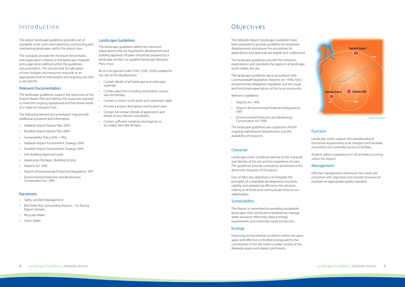### Introduction Objectives

The airport landscape guidelines provide a set of standards to be used when planning, constructing and maintaining landscapes within the airport sites.

The standards provide the minimum benchmarks and expectations relative to the landscape character and usage zones defined within the guidelines documentation. This ensures that the allocation of time, budgets and resources responds to an appropriate level of intervention and ongoing care that is site specific.

#### Relevant Documentation

- • Safety and Bird Management
- Bird Strike Risk Surrounding Airports For Racing Pigeon Owners
- **Recycled Water**
- **Storm Water**

The landscape guidelines support the objectives of the Airport Master Plan and defines the responses required to meet the ongoing operational and functional needs of a major air transport hub.

The following relevant documentation may provide additional assistance and information.

- • Adelaide Airport Master Plan 2004
- • Parafield Airport Master Plan 2004
- Sustainability Policy (AAL + PAL)
- • Adelaide Airport Environment Strategy 2004
- • Parafield Airport Environment Strategy 2004
- • AAL Building Approval Guide
- • Application Package Building Activity
- • Airports Act 1996
- • Airports (Environmental Protection) Regulations 1997
- **Environmental Protection and Biodiversity** Conservation Act 1996

### **Factsheets**

#### Landscape Guidelines

The landscape guidelines define the minimum expectations that are required for development and building approval. All plans should be prepared by a landscape architect or qualified landscape designer. Plans must:

Be at a recognised scale (1:100, 1:200, 1:500) suitable for the size of the development

- • Contain details of all hardscape and softscape materials.
- Contain plant lists including provenance, source, size and density.
- • Contain a correct north point and submission date.
- • Provide a project description and location plan
- • Contain full contact details of applicant/s and details of any relevant consultants.
- • Contain sufficient notations and legends to accurately describe all parts.

The Adelaide Airport Landscape Guidelines have been prepared to provide guidelines for proposed developments and ensure the procedures for applications and approvals are legible and understood.

The landscape guidelines provide the minimum expectations and standards that apply to all landscape works within the site.

The landscape guidelines are in accordance with Commonwealth legislation (Airports Act 1996), AAL's environmental obligations legislation and the visual and functional expectations of the local community.

- Relevant Legislation:
- • Airports Act 1996
- • Airports (Environmental Protection) Regulations 1997
- • Environmental Protection and Biodiversity Conservation Act 1996.

The landscape guidelines are cogniscent of both ongoing maintenance requirements and the availability of resources.

### **Character**

Landscape works contribute directly to the character and identity of the site and the experience of users. The guidelines provide consistency and enhance the distinctive character of the airport.

One of AAL's key objectives is to integrate the principles of sustainable development, economic viability and operational efficiency into decision making at all levels and communicate these to our stakeholders.

### **Sustainability**

The Airport is committed to providing sustainable landscapes that contribute to biodiversity, manage water resources effectively, reduce energy requirements and minimises waste production.

### **Ecology**

Improving environmental conditions within the open space and effective controlled ecology add to the contribution of the site within a wider context of the Adelaide region and related catchments.



### Function

Landscape works support the operational and functional requirements of air transport and facilitate movement and controlled access to facilities.

Aviation safety is paramount to all activities occurring within the Airport.

### Management

Effective management will ensure new works are consistent with objectives and provide resources to maintain an appropriate quality standard.

*Airport locations*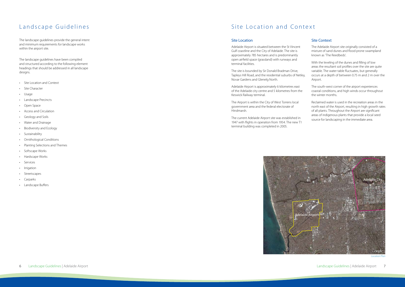### Landscape Guidelines

The landscape guidelines provide the general intent and minimum requirements for landscape works within the airport site.

The landscape guidelines have been compiled and structured according to the following element headings that should be addressed in all landscape designs.

- • Site Location and Context
- Site Character
- • Usage
- • Landscape Precincts
- • Open Space
- • Access and Circulation
- • Geology and Soils
- • Water and Drainage
- • Biodiversity and Ecology
- Sustainability
- • Ornithological Conditions
- • Planting Selections and Themes
- Softscape Works
- Hardscape Works
- • Services
- Irrigation
- Streetscapes
- • Carparks
- • Landscape Buffers

### Site Location and Context

### Site Location

Adelaide Airport is situated between the St Vincent Gulf coastline and the City of Adelaide. The site is approximately 785 hectares and is predominantly open airfield space (grassland) with runways and terminal facilities.

The site is bounded by Sir Donald Bradman Drive, Tapleys Hill Road, and the residential suburbs of Netley, Novar Gardens and Glenelg North.

Adelaide Airport is approximately 6 kilometres east of the Adelaide city centre and 5 kilometres from the Keswick Railway terminal.

The Airport is within the City of West Torrens local government area and the federal electorate of Hindmarsh.

The current Adelaide Airport site was established in 1947 with flights in operation from 1954. The new T1 terminal building was completed in 2005.

### Site Context

The Adelaide Airport site originally consisted of a mixture of sand dunes and flood prone swampland known as 'The Reedbeds'.

With the leveling of the dunes and filling of low areas the resultant soil profiles over the site are quite variable. The water table fluctuates, but generally occurs at a depth of between 0.75 m and 2 m over the Airport.

The south-west corner of the airport experiences coastal conditions, and high winds occur throughout the winter months.

Reclaimed water is used in the recreation areas in the north east of the Airport, resulting in high growth rates of all plants. Throughout the Airport are significant areas of indigenous plants that provide a local seed source for landscaping in the immediate area.



*Location Plan*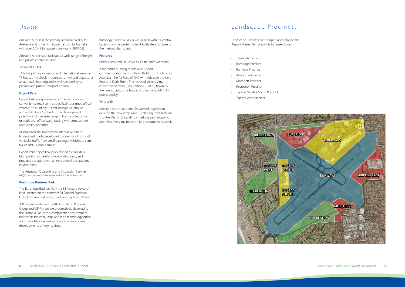### Usage

Adelaide Airport is the primary air transit facility for Adelaide and is the fifth busiest airport in Australia with over 6.7 million passengers yearly (2007/08).

Adelaide Airport also facilitates a wide range of freight and private charter services.

#### **Terminal 1 (T1)**

T1 is the primary domestic and international terminal. T1 houses the check-in counters, arrival and departures areas, retail shopping and is well serviced by car parking and public transport options.

#### **Export Park**

Export Park incorporates a commercial office and convenience retail centre, specifically designed office/ warehouse buildings, a cold storage warehouse and a Child Care Centre. Further development potential includes uses ranging from a hotel, offices or additional office/warehousing with some airside accessibility potential.

All buildings are linked by an internal system of landscaped roads, developed to cater for all forms of vehicular traffic from small passenger vehicles to semitrailer and B Double Trucks.

Export Park is specifically developed to provide a high portion of park-land-to-building ratio, and provides occupiers with an exceptional occupational environment.

The Australian Quarantine and Inspection Service (AQIS) occupies a site adjacent to the entrance.

#### **Burbridge Business Park**

The Burbridge Business Park is a 38 hectare parcel of land, located on the corner of Sir Donald Bradman Drive (formally Burbridge Road) and Tapley's Hill Road.

AAL in partnership with with Australand Property Group and CIP Pty Ltd are progressively developing the Business Park into a campus style environment that caters for small, large and high technology office accommodation as well as office and warehouse developments of varying sizes.

Burbridge Business Park is well placed within a central location on the western side of Adelaide, and close to the metropolitan coast.

#### **Features**

Vickers Vimy and Sir Ross & Sir Keith Smith Memorial

A memorial building at Adelaide Airport commemorates the first official flight from England to Australia - the Air Race of 1919 with Adelaide brothers Ross and Keith Smith. The restored Vickers Vimy converted bomber (Registration G-EAOU) flown by the famous aviators is housed inside the building for public display.

### Vimy Walk

Adelaide Airport and Arts SA worked together to develop the new Vimy Walk - stretching from Terminal 1 to the Memorial building - marking each stopping point that the Vimy made on its epic route to Australia.

### Landscape Precincts

Landscape Precincts are grouped according to the Airport Master Plan precincts for ease of use.

- • Terminals Precinct
- • Burbridge Precinct
- • Runways Precinct
- • Airport East Precinct
- • Morphett Precinct
- • Recreation Precinct
- Tapleys North + South Precinct
- • Tapleys West Precinct

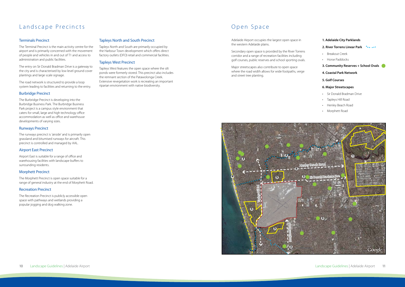## Landscape Precincts

### Terminals Precinct

The Terminal Precinct is the main activity centre for the airport and is primarily concerned with the movement of people and vehicles in and out of T1 and access to administration and public facilities.

The entry on Sir Donald Bradman Drive is a gateway to the city and is characterised by low level ground cover plantings and large scale signage.

The road network is structured to provide a loop system leading to facilities and returning to the entry.

### Burbridge Precinct

The Burbridge Precinct is developing into the Burbridge Business Park. The Burbridge Business Park project is a campus style environment that caters for small, large and high technology office accommodation as well as office and warehouse developments of varying sizes.

### Runways Precinct

The runways precinct is 'airside' and is primarily open grassland and bitumised runways for aircraft. This precinct is controlled and managed by AAL.

### Airport East Precinct

Airport East is suitable for a range of office and warehousing facilities with landscape buffers to surrounding residents.

### Morphett Precinct

- Breakout Creek
- • Horse Paddocks

The Morphett Precinct is open space suitable for a range of general industry at the end of Morphett Road.

- • Sir Donald Bradman Drive
- Tapleys Hill Road
- • Henley Beach Road
- Morphett Road

### Recreation Precinct

The Recreation Precinct is publicly accessible open space with pathways and wetlands providing a popular jogging and dog walking zone.

### Tapleys North and South Precinct

Tapleys North and South are primarily occupied by the Harbour Town development which offers direct factory outlets (DFO) retail and commercial facilities.

### Tapleys West Precinct

Tapleys West features the open space where the silt ponds were formerly stored. This precinct also includes the remnant section of the Patawolonga Creek. Extensive revegetation work is recreating an important riparian environment with native biodiversity.

### Open Space

Adelaide Airport occupies the largest open space in the western Adelaide plains.

Secondary open space is provided by the River Torrens corridor and a range of recreation facilities including golf courses, public reserves and school sporting ovals.

Major streetscapes also contribute to open space where the road width allows for wide footpaths, verge and street tree planting.

### **1. Adelaide City Parklands**

#### **2. River Torrens Linear Park**

#### **3. Community Reserves + School Ovals**

#### **4. Coastal Park Network**

**5. Golf Courses**

#### **6. Major Streetscapes**

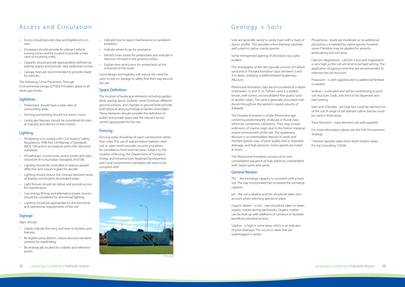### Access and Circulation

- • Access should provide clear and legible entry to sites.
- • Driveways should provide for relevant vehicle turning circles and be located to provide a clear view of incoming traffic.
- • Carparks should provide appropriately defined car parking spaces and provide clear pedestrian routes.
- • Canopy trees are recommended to provide shade for vehicles.

The following Crime Prevention Through Environmental Design (CPTED) Principles apply to all landscape works:

### **Sightlines**

- • Pedestrians should have a clear view of surrounding areas
- Fencing and kerbing should not restrict vision
- • Landscape features should be considered for sizes at maturity and density of tree crowns.

### **Lighting**

- Indicate how to report maintenance or vandalism problems.
- Indicate where to go for assistance.
- • Identify main routes for pedestrians and indicate in direction of travel in the ground surface.
- • Explain time restrictions for entries/exits at the entrances to the route.

- • All lighting is to comply with Civil Aviation Safety Regulations 1998 Part 139 Manual of Standards (MOS 139) and in accordance withe AAL electrical standards.
- All pathways, connections, access routes and signs should be lit to Australian Standards (AS1158)
- Lighting should be controlled to reduce upward reflection and nuisance glare for aircraft.
- Lighting should reduce the contrast between areas of shadow and brightly illuminated areas.
- Light fixtures should be robust and provide access for maintenance.
- • Low energy fittings and alternative power sources should be considered for all external lighting.
- Lighting should be appropriate for the functional and operational requirements of the site.

### Signage

Signs should:

- • Clearly indicate the entry and exits to facilities and features.
- Be legible using distinct colours and use standard symbols for wayfinding.
- • Be strategically located for visibility and reference points.

Good design and legibility will reduce the need for users to rely on signage to safely find their way around the site.

#### Space Definition

The location of landscape elements including garden beds, paving, lawns, bollards, street furniture, different ground surfaces, and changes in ground level provide both physical and psychological barriers and edges. These elements should consider the definition of public and private space and the relevant access control appropriate for the site.

### Fencing

Fencing styles should be of open construction rather than solid. The use of spaced timber battens, steel rod, or open mesh provides security and allows for surveillance from external areas. Subject to the location of fencing, the Department of Transport, Energy and Infrastructure, Regional Development and Local Governments standards will need to be complied with.



*Entry Sign*

### Geology + Soils

Soils are generally sandy to sandy loam with a 'back of dunes' profile. This provides a free draining substrate well suited to native coastal species.

Some interspersed layering of silty black clay is also evident.

The stratigraphy of the site typically consists of Fulham sand and or Pooraka formation clays between 3 and 4 m deep, overlying undifferentiated Quaternary Alluvium.

Pleistocene formation clays are encountered at a depth of between 12 and 15 m. Fulham sand is a reddish brown, well-sorted, unconsolidated fine quartz sand of aeolian origin. The sand is generally associated with dunes throughout the western coastal suburbs of Adelaide.

The Pooraka formation is of late Pleistocene age consisting predominantly of alluvial or fluvial clays, which are sometimes calcareous. They may contain sediments of marine origin due to the former marginal marine environment of the site. The quaternary alluvium is an interbedded deposit of sands and mottled greyish clays of poor quality due to impeded drainage, and high plasticity. Some gravels are noted at times.

The Pleistocene formation consists of an overconsolidated sequence of high plasticity, interbedded with clayey sands and sands.

### General Review

TEC – the exchange capacity is consistent with a loam soil. The clay incorporated has increased the exchange capacity.

pH - the soil is alkaline and this should be taken into account when selecting species to plant.

Organic Matter - is low - care should be taken to retain organic matter during earthworks. Organic matter can be built up with additions of compost to facilitate beneficial microbial activity.

Sulphur - is high in some areas which is an indicator of poor drainage. This occurs in areas that are waterlogged in winter.

Phosphorus - levels are moderate so no additional phosphorus is needed for native species however some P fertiliser may be applied for amenity landscaping and turf areas.

Calcium: Magnesium - calcium is low and magnesium is very high so the soil will tend to be hard setting. The application of gypsum and lime are recommended to improve the soil structure.

Potassium - is well supplied and no additional fertiliser is needed.

Sodium - is elevated and will be contributing to poor soil structure. Sodic soils tend to be dispersive and hard setting.

Salts and Chlorides - are high but could be leached out of the soil. A range of salt tolerant native species could be used in these areas.

Trace Elements - trace elements are well supplied.

For more information please see the AAL Environment Strategy.

\* Review Samples taken from North Eastern areas Pro Ag Consulting 17/4/06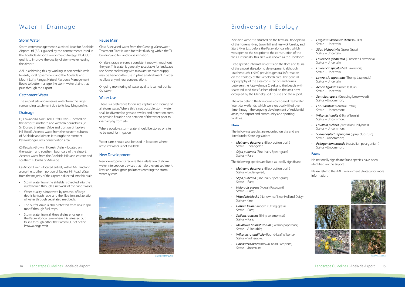### Water + Drainage

#### Storm Water

Storm water management is a critical issue for Adelaide Airport Ltd (AAL), guided by the commitments listed in the Adelaide Airport Environment Strategy 2004. Our goal is to improve the quality of storm water leaving the airport.

AAL is achieving this by working in partnership with tenants, local government and the Adelaide and Mount Lofty Ranges Natural Resource Management Board to better manage the storm water drains that pass through the airport.

### Catchment Water

The airport site also receives water from the larger surrounding catchment due to its low lying profile.

- • Storm water from the airfields is directed into the outfall drain through a network of overland swales.
- Water quality is improved by removal of large debris by trash racks and the filtration and aeration of water through vegetated reedbeds.
- The outfall drain is also protected from onsite spill runoff through fuel traps.
- Storm water from all three drains ends up in the Patawalonga Lake where it is released out to sea through either the Barcoo Outlet or the Patawalonga weir.

#### Drainage

(1) Cowandilla-Mile End Outfall Drain – located on the airport's northern and western boundaries (ie. Sir Donald Bradman Drive and portion of Tapleys Hill Road). Accepts water from the western suburbs of Adelaide and directs it through the remnant Patawalonga Creek conservation area.

(2) Keswick-Brownhill Creek Drain – located on the eastern and southern boundary of the airport. Accepts water from the Adelaide Hills and eastern and southern suburbs of Adelaide.

(3) Airport Drain – located entirely within AAL land and along the southern portion of Tapleys Hill Road. Water from the majority of the airport is directed into this drain.

### Reuse Main

Class A recycled water from the Glenelg Wastewater Treatment Plant is used for toilet flushing within the T1 building and for landscape irrigation.

On site storage ensures a consistent supply throughout the year. This water is generally acceptable for landscape use. Some cocktailing with rainwater or mains supply may be beneficial for use in plant establishment in order to dilute any mineral concentrations.

Ongoing monitoring of water quality is carried out by SA Water.

### Water Use

There is a preference for on site capture and storage of all storm water. Where this is not possible storm water shall be diverted to grassed swales and detention areas to provide filtration and aeration of the water prior to discharging from site.

Where possible, storm water should be stored on site to be used for irrigation

Water carts should also be used in locations where recycled water is not available.

### New Development

New developments require the installation of storm water interception devices that help prevent sediment, litter and other gross pollutants entering the storm water system.



*Stormwater Basin*

### Biodiversity + Ecology

Adelaide Airport is situated on the terminal floodplains of the Torrens River, Brownhill and Keswick Creeks, and Sturt River just before the Patawalonga Inlet, which was open to the sea prior to the construction of the weir. Historically, this area was known as the Reedbeds.

Little specific information exists on the flora and fauna of the airport site prior to development, although Kraehenbuehl (1996) provides general information on the ecology of the Reedbeds area. The general topography of the area consisted of sand dunes between the Patawalonga Creek and the beach, with scattered sand rises further inland on the area now occupied by the Glenelg Golf Course and the airport.

The area behind the fore dunes comprised freshwater intertidal wetlands, which were gradually filled over time through the ongoing development of residential areas, the airport and community and sporting facilities.

### **Flora**

The following species are recorded on site and are listed under State legislation:

- • *Maireana decalvans* (Black cotton bush) Status - Endangered
- • *Stipa puberula* (Fine-hairy Spear-grass) Status – Rare

The following species are listed as locally significant.

- • *Maireana decalvans* (Black cotton bush) Status – Endangered;
- • *Stipa puberula* (Fine-hairy Spear-grass) Status – Rare;
- • *Haloragis aspera* (Rough Raspwort) Status – Rare;
- • *Vittadinia blackii* (Narrow-leaf New Holland Daisy) Status– Rare;
- • *Gahnia filum (*Smooth cutting-grass) Status – Rare;
- • *Selliera radicans* (Shiny swamp-mat) Status – Rare;
- • *Melaleuca halmaturorum* (Swamp paperbark) Status - Vulnerable;
- • *Wilsonia rotundifolia* (Round-Leaf Wilsonia) Status – Vulnerable;
- • *Halosarcia indica* (Brown-head Samphire) Status - Uncertain;
- • *Eragrostis dielsii var. dielsii* (Mulka) Status – Uncertain
- *Stipa trichophylla* (Spear Grass) Status – Uncertain
- **Lawrencia glomerata** (Clustered Lawrencia) Status – Uncertain;
- **Lawrencia spicata** (Salt Lawrencia) Status – Uncertain;
- **Lawrencia squamata** (Thorny Lawrencia) Status – Uncertain;
- • *Acacia ligulata* Umbrella Bush Status – Uncertain
- *Samolus repens* (Creeping brookweed) Status –Uncommon;
- **Lotus australis** (Austral Trefoil) Status – Uncommon;
- • *Wilsonia humilis* (Silky Wilsonia) Status – Uncommon;
- **Lavatera plebeia** (Australian Hollyhock) Status – Uncommon;
- **Schoenoplectus pungens** (Spiky club-rush) Status –Uncommon;
- **Pelargonium australe** (Australian pelargonium) Status –Uncommon.

#### **Fauna**

No nationally significant fauna species have been identified on the airport.

Please refer to the AAL Environment Strategy for more information.



*Native Species*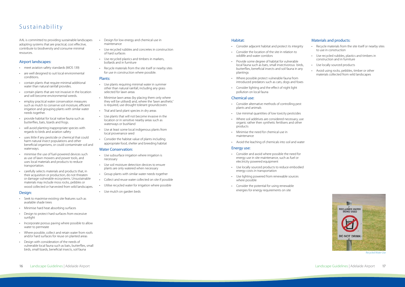### Sustainability

AAL is committed to providing sustainable landscapes adopting systems that are practical, cost effective, contribute to biodiversity and consume minimal resources.

### Airport landscapes:

- meet aviation safety standards (MOS 139)
- are well designed to suit local environmental conditions.
- • contain plants that require minimal additional water than natural rainfall provides.
- contain plants that are not invasive in the location and will become environmental weeds.
- • employ practical water conservation measures such as mulch to conserve soil moisture, efficient irrigation and grouping plants with similar water needs together.
- provide habitat for local native fauna such as butterflies, bats, lizards and frogs.
- will avoid planting inappropriate species with regards to birds and aviation safety
- uses little if any pesticide or chemical that could harm natural insect populations and other beneficial organisms, or could contaminate soil and waterways.
- minimise the use of fuel-powered devices such as use of lawn mowers and power tools, and uses local materials and products to reduce transportation.
- carefully selects materials and products that, in their acquisition or production, do not threaten or damage vulnerable ecosystems. Unsustainable materials may include moss rocks, pebbles or wood collected or harvested from wild landscapes.
- Design for low energy and chemical use in maintenance
- • Use recycled rubbles and concretes in construction of hard surfaces
- • Use recycled plastics and timbers in markers, bollards and in furniture
- • Recycle materials from the site itself or nearby sites for use in construction where possible.

### Design:

- Use subsurface irrigation where irrigation is necessary
- • Use soil moisture detection devices to ensure plants are only watered when necessary
- • Group plants with similar water needs together
- Collect and reuse water collected on site if possible
- Utilise recycled water for irrigation where possible
- • Use mulch on garden beds

- • Seek to maximise existing site features such as available shade trees
- • Minimise hard heat absorbing surfaces
- • Design to protect hard surfaces from excessive sunlight
- Incorporate porous paving where possible to allow water to permeate
- Where possible, collect and retain water from roofs and/or hard surfaces for reuse on planted areas
- Design with consideration of the needs of vulnerable local fauna such as bats, butterflies, small birds, small lizards, beneficial insects, soil fauna

### Plants:

- Recycle materials from the site itself or nearby sites to use in construction
- Use recycled rubbles, plastics and timbers in construction and in furniture
- Use locally sourced products
- Avoid using rocks, pebbles, timber or other materials collected from wild landscapes



- • Use plants requiring minimal water in summer other than natural rainfall, including any grass selected for lawn areas
- Minimise lawn areas (by placing them only where they will be utilised) and, where the 'lawn aesthetic' is required, use drought tolerant groundcovers
- Trial arid land plant species in dry areas
- • Use plants that will not become invasive in the location or in sensitive nearby areas such as waterways or bushland
- • Use at least some local indigenous plants from local provenance seed
- • Consider the habitat value of plants including appropriate food, shelter and breeding habitat

### Water Conservation:

### Habitat:

- • Consider adjacent habitat and protect its integrity
- • Consider the location of the site in relation to wildlife and water corridors
- • Provide some degree of habitat for vulnerable local fauna such as bats, small insectivorous birds, butterflies, beneficial insects and soil fauna in any plantings
- Where possible protect vulnerable fauna from introduced predators such as cats, dogs and foxes
- • Consider lighting and the effect of night light pollution on local fauna

### Chemical use:

- • Consider alternative methods of controlling pest plants and animals
- • Use minimal quantities of low toxicity pesticides
- Where soil additives are considered necessary, use organic rather then synthetic fertilisers and other products
- • Minimise the need for chemical use in maintenance
- • Avoid the leaching of chemicals into soil and water

### Energy use:

- • Consider and avoid where possible the need for energy use in site maintenance, such as fuel or electricity powered equipment
- Use locally sourced products to reduce embodied energy costs in transportation
- • Use lighting powered from renewable sources where possible
- • Consider the potential for using renewable energies for energy requirements on site

*Recycled Water Use*

### Materials and products: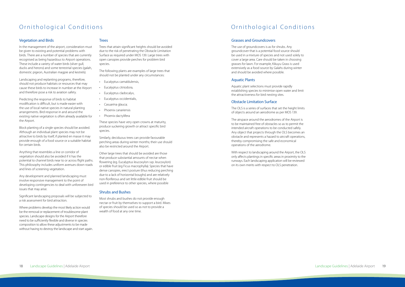### Ornithological Conditions

### Vegetation and Birds

In the management of the airport, consideration must be given to existing and potential problems with birds. There are a number of species that are currently recognised as being hazardous to Airport operations. These include a variety of water birds (silver gull, ducks and herons) and some terrestrial species (galah, domestic pigeon, Australian magpie and kestrels).

Landscaping and replanting programs, therefore, should not produce habitats or resources that may cause these birds to increase in number at the Airport and therefore pose a risk to aviation safety.

Predicting the response of birds to habitat modification is difficult, but is made easier with the use of local native species in natural planting arrangements. Bird response in and around the existing native vegetation is often already available for the Airport.

Block planting of a single species should be avoided. Although an individual plant species may not be attractive to birds by itself, if planted en masse it may provide enough of a food source or a suitable habitat for certain birds.

Anything that resembles a line or corridor of vegetation should also be avoided if it has the potential to channel birds near to or across flight paths. This philosophy includes uniform avenues down roads and lines of screening vegetation.

Any development and planned landscaping must involve responsive management to the point of developing contingencies to deal with unforeseen bird issues that may arise.

Significant landscaping proposals will be subjected to a risk assessment for bird attraction.

Where problems develop the most likely action would be the removal or replacement of troublesome plant species. Landscape designs for the Airport therefore need to be sufficiently flexible and diverse in species composition to allow these adjustments to be made without having to destroy the landscape and start again.

### Trees

Trees that attain significant heights should be avoided due to the risk of penetrating the Obstacle Limitation Surface as required under MOS 139. Large trees with open canopies provide perches for problem bird species.

The following plants are examples of large trees that should not be planted under any circumstances:

- • Eucalyptus camaldulensis,
- Eucalyptus citriodora,
- Eucalyptus cladocalyx,
- • Eucalyptus occidentialis,
- • Casuarina glauca;
- • Phoenix canariensis
- • Phoenix dactylifera

These species have very open crowns at maturity, produce suckering growth or attract specific bird species.

Similarly, deciduous trees can provide favourable perching areas during winter months; their use should also be restricted around the Airport.

Other large trees that should be avoided are those that produce substantial amounts of nectar when flowering (eg. Eucalyptus leucoxylon ssp. leucoxylon) or edible fruit (eg Ficus macrophylla). Species that have dense canopies, erect posture (thus reducing perching due to a lack of horizontal boughs) and are relatively non-floriferous and set little edible fruit should be used in preference to other species, where possible

### Shrubs and Bushes

Most shrubs and bushes do not provide enough nectar or fruit by themselves to support a bird. Mixes of species should be used so as not to provide a wealth of food at any one time.

## Ornithological Conditions

### Grasses and Groundcovers

The use of groundcovers is as for shrubs. Any groundcover that is a potential food source should be used in a mixture of species and not used solely to cover a large area. Care should be taken in choosing grasses for lawn. For example, Kikuyu Grass is used extensively as a food source by Galahs during winter and should be avoided where possible.

### Aquatic Plants

Aquatic plant selections must provide rapidly establishing species to minimise open water and limit the attractiveness for bird nesting sites.

### Obstacle Limitation Surface

The OLS is a series of surfaces that set the height limits of objects around an aerodrome as per MOS 139.

The airspace around the aerodromes of the Airport is to be maintained free of obstacles so as to permit the intended aircraft operations to be conducted safely. Any object that projects through the OLS becomes an obstacle and represents a hazard to aircraft operations, thereby compromising the safe and economical operations of the aerodrome.

With respect to landscaping around the Airport, the OLS only affects plantings in specific areas in proximity to the runways. Each landscaping application will be reviewed on its own merits with respect to OLS penetration.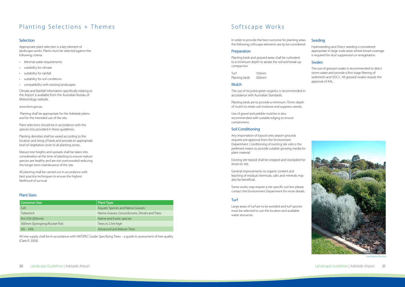20 Landscape Guidelines | Adelaide Airport Landscape Guidelines | Adelaide Airport 21

### Plant Sizes

| <b>Container Size</b>         | <b>Plant Type</b>                              |
|-------------------------------|------------------------------------------------|
| Cell                          | <b>Aquatic Species and Native Grasses</b>      |
| <b>Tubestock</b>              | Native Grasses, Groundcovers, Shrubs and Trees |
| Pot (150-200mm)               | Native and Exotic species                      |
| 300mm (Springring/Rocket Pot) | Trees to 2.5m high                             |
| $451 - 1001$                  | <b>Advanced and Mature Trees</b>               |

- Minimal water requirements
- • suitability for climate
- • suitability for rainfall
- • suitability for soil conditions
- • compatibility with existing landscapes

All tree supply shall be in accordance with NATSPEC Guide: Specifying Trees – a guide to assessment of tree quality (Clark R. 2003).

### Planting Selections + Themes

### Selection

Appropriate plant selection is a key element of landscape works. Plants must be selected against the following criteria:

Climate and Rainfall information specifically relating to the Airport is available from the Australian Bureau of Meteorology website.

#### *www.bom.gov.au*

Planting shall be appropriate for the Adelaide plains and for the intended use of the site.

Plant selections should be in accordance with the species lists provided in these guidelines.

Planting densities shall be varied according to the location and siting of beds and provide an appropriate level of vegetative cover to all planting zones.

Mature tree heights and spreads shall be taken into consideration at the time of planting to ensure mature species are healthy and are not overcrowded reducing the longer term maintenance of the site.

All planting shall be carried out in accordance with best practice techniques to ensure the highest likelihood of survival.

### Softscape Works

In order to provide the best outcome for planting areas the following softscape elements are tp be considered:

### Preparation

Planting beds and grassed areas shall be cultivated to a minimum depth to aerate the soil and break up compaction.

Turf 150mm Planting beds 300mm

### Mulch

The use of recycled green organics is recommended in accordance with Australian Standards.

Planting beds are to provide a minimum 75mm depth of mulch to retain soil moisture and suppress weeds.

Use of gravel and pebble mulches is also recommended with suitable edging to ensure containment.

### Soil Conditioning

Any importation of topsoil onto airport grounds requires pre-approval from the Environment Department. Conditioning of existing site soils is the preferred means to provide suitable growing media for plant material.

Existing site topsoil shall be stripped and stockpiled for reuse on site.

General improvements to organic content and leaching of residual chemicals, salts and minerals may also be beneficial.

Some works may require a site specific soil test please contact the Environment Department for more details.

### Turf

Large areas of turf are to be avoided and turf species must be selected to suit the location and available water resources.

### Seeding

Hydroseeding and Direct seeding is considered appropriate in large scale areas where broad coverage is required for dust suppression or revegetation.

### Swales

The use of grassed swales is recommended to direct storm water and provide a first stage filtering of sediments and VOC's . All grassed swales require the approval of AAL.



*Low Native Shrubss*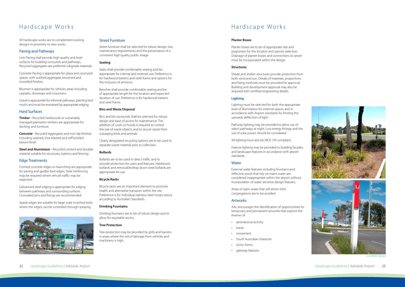22 Landscape Guidelines | Adelaide Airport Landscape Guidelines | Adelaide Airport 23

### Hardscape Works

All hardscape works are to complement existing designs in proximity to new works.

### Paving and Pathways

Unit Paving shall provide high quality and level surfaces for building surrounds and pathways. Recycled aggregates are preferred subgrade materials.

**Timber - Recycled hardwoods or sustainably** managed plantation timbers are appropriate for decking and furniture.

Concrete Paving is appropriate for plaza and courtyard spaces with washed aggregate, broomed and trowelled finishes.

Bitumen is appropriate for vehicles areas including carparks, driveways and crossovers.

Gravel is appropriate for informal pathways, planting bed mulch and must be restrained by appropriate edging.

### Hard Surfaces

**Concrete** - Recycled aggregates and non-slip finishes including washed, shot blasted and stiff bristled broom finish

**Steel and Aluminium** - Recycled content and durable material suitable for structures, battens and fencing

### Edge Treatments

Formed concrete edges or haunching are appropriate for paving and garden bed edges. Steel reinforcing may be required where vehciel traffic may be expected.

Galvanised steel edging is appropriate for edging between pathways and surrounding surfaces. Concealed pins and fixings are recommended.

Spade edges are suitable for large scale mulched beds where the edges can be controlled through spraying.



#### Street Furniture

Street furniture shall be selected for robust design, low maintenance requirements and the presentation of a consistent high quality public image.

#### **Seating**

Seats shall provide comfortable seating and be appropriate for internal and external use. Preference is for hardwood battens and steel frame and options for the inclusion of armrests.

Benches shall provide comfortable seating and be of appropriate length for the location and expected duration of use. Preference is for hardwood battens and steel frame.

### **Bins and Waste Disposal**

Bins and bin surrounds shall be selected for robust design and ease of access for maintenance. The addition of cowls or hoods is required to control the size of waste objects and to secure waste from scavaging birds and animals.

Clearly designated recycling options are to be used to separate waste material prior to collection.

### **Bollards**

Bollards are to be used to direct traffic and to provide protection for users and features. Hardwood bollards and removable/drop down steel bollards are appropriate for use.

### **Bicycle Racks**

Bicycle racks are an important element to promote health and alternative transport within the site. Preference is for individual stainless steel hoops setout according to Australian Standards.

### **Drinking Fountains**

Drinking fountains are to be of robust design and to allow for equitable access.

### **Tree Protection**

Tree protection may be provided by grills and barriers in areas where the risk of damage from vehicles and machinery is high.

### Hardscape Works

#### **Planter Boxes**

Planter boxes are to be of appropriate size and proportion for the location and species selection. Drainage of planter boxes and connections to sewer must be incorporated within the design.

#### **Structures**

Shade and shelter structures provide protection from both wind and sun. Details of materials, proportions and fixing methods must be provided for approval. Building and development approval may also be required with certified engineering details.

### **Lighting**

Lighting must be selected for both the appropriate level of illumination for external spaces and in accordance with Airport standards for limiting the upwards deflection of light.

Pathway lighting may be provided to allow use of select pathways at night. Low energy fittings and the use of solar power should be considered.

All lighting must also be MOS 139 compliant.

Feature lighting may be provided to building facades and landscape features in accordance with airport standards.

### **Water**

External water features including fountains and reflection pools that rely on mains water are considered inappropriate within the airport without incorporation of water sensitive design features.

Areas of open water that will attract bird congregations are to be avoided.

### Artworks

AAL encourages the identification of opportunities for temporary and permanent artworks that explore the themes of:

- • aeronautical activity
- travel
- • movement
- South Australian character
- • iconic forms
- • gateway features



*Low Water Species*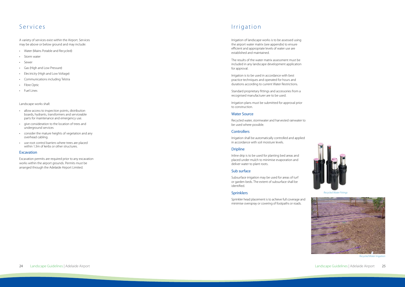### Services

A variety of services exist within the Airport. Services may be above or below ground and may include:

- • Water (Mains Potable and Recycled)
- Storm water
- • Sewer
- • Gas (High and Low Pressure)
- • Electricity (High and Low Voltage)
- • Communications including Telstra
- • Fibre Optic
- • Fuel Lines

- allow access to inspection points, distribution boards, hydrants, transformers and serviceable parts for maintenance and emergency use.
- • give consideration to the location of trees and underground services
- • consider the mature heights of vegetation and any overhead cabling.
- • use root control barriers where trees are placed within 1.3m of kerbs or other structures.

### **Excavation**

#### Landscape works shall:

Excavation permits are required prior to any excavation works within the airport grounds. Permits must be arranged through the Adelaide Airport Limited.

### Irrigation

Irrigation of landscape works is to be assessed using the airport water matrix (see appendix) to ensure efficient and appropriate levels of water use are established and maintained.

The results of the water matrix assessment must be included in any landscape development application for approval.

Irrigation is to be used in accordance with best practice techniques and operated for hours and durations according to current Water Restrictions.

Standard proprietary fittings and accessories from a recognised manufacturer are to be used.

Irrigation plans must be submitted for approval prior to construction.

### Water Source

Recycled water, stormwater and harvested rainwater to be used where possible.

### **Controllers**

Irrigation shall be automatically controlled and applied in accordance with soil moisture levels.

### **Dripline**

Inline drip is to be used for planting bed areas and placed under mulch to minimise evaporation and deliver water to plant roots.

### Sub surface

Subsurface irrigation may be used for areas of turf or garden beds. The extent of subsurface shall be identified.

### **Sprinklers**

Sprinkler head placement is to achieve full coverage and minimise overspray or covering of footpaths or roads.

*Recycled Water Irrigation* 



*Recycled Water Fittings*

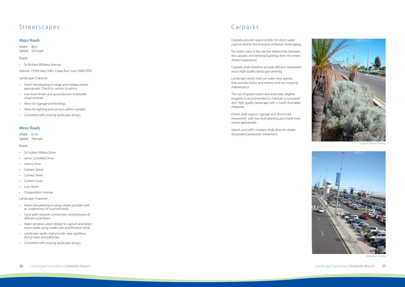26 Landscape Guidelines | Adelaide Airport Landscape Guidelines | Adelaide Airport 27

### Streetscapes

### Major Roads

Width: 8m+ Speed: 50 kmph

#### Roads:

• Sir Richard Williams Avenue

Volume: 27,000 daily (24hr 2-way flow June 2008 DTEI)

Landscape Character

- Street tree planting in verge and median where appropriate. Check for service locations.
- • Low level shrubs and groundcovers to provide visual contrast
- Allow for signage and footings.
- • Allow for lighting and services within corridor.
- • Consistent with existing landscape design.

### Minor Roads

Width: 6-7m Speed: 50kmph

Roads:

- • Sir Hubert Wilkins Drive
- • James Schofield Drive
- • Hamra Drive
- • Graham Street
- Comley Street
- • Corbett Court
- • Lum Street
- • Chegwiddon Avenue

Landscape Character

- • Street tree planting in verge where possible with an understorey of mulched beds.
- • Cycle path network connections and inclusion of defined cycle lanes.
- • Water sensitive urban design to capture and direct storm water using swales, pits and filtration beds.
- • Landscape works shall provide clear sightlines along roads and pathways.
- • Consistent with existing landscape design.

### Carparks

Carparks provide opportunities for storm water capture and for the inclusion of feature landscaping.

For many users of the site the relationship between the carparks and terminal buildings form the entire Airport experience.

Carparks shall therefore provide efficient movement and a high quality landscape amenity.

Landscape works shall use water wise species that provide colour and interest and low ongoing maintenance.

The use of gravel mulch and automatic dripline irrigation is recommended to maintain a consistent and high quality landscape with a South Australian character.

Entries shall support signage and directional movement with low level planting and shade trees where appropriate.

Islands and traffic medians shall allow for clearly designated pedestrian movement.



*Pedestrian Corridor*



*Carpark Feature Planting*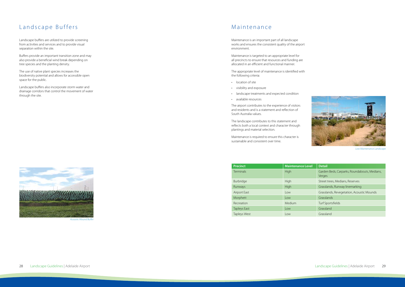### Landscape Buffers

Landscape buffers are utilized to provide screening from activities and services and to provide visual separation within the site.

Buffers provide an important transition zone and may also provide a beneficial wind break depending on tree species and the planting density.

The use of native plant species increases the biodiversity potential and allows for accessible open space for the public.

Landscape buffers also incorporate storm water and drainage corridors that control the movement of water through the site.

*Acoustic Mound Buffer*

- location of site
- • visibility and exposure
- • landscape treatments and expected condition
- • available resources

| <b>Precinct</b>     | <b>Maintenance Level</b> | <b>Detail</b>                                          |
|---------------------|--------------------------|--------------------------------------------------------|
| <b>Terminals</b>    | High                     | Garden Beds, Carparks, Roundabouts, Medians,<br>Verges |
| Burbridge           | <b>High</b>              | Street trees, Medians, Reserves                        |
| Runways             | <b>High</b>              | Grasslands, Runway linemarking                         |
| <b>Airport East</b> | Low                      | Grasslands, Revegetation, Acoustic Mounds              |
| Morphett            | Low                      | Grasslands                                             |
| Recreation          | Medium                   | Turf Sportsfields                                      |
| <b>Tapleys East</b> | Low                      | Grassland                                              |
| <b>Tapleys West</b> | Low                      | Grassland                                              |

### Maintenance

Maintenance is an important part of all landscape works and ensures the consistent quality of the airport environment.

Maintenance is targeted to an appropriate level for all precincts to ensure that resources and funding are allocated in an efficient and functional manner.

The appropriate level of maintenance is identified with the following criteria:

The airport contributes to the experience of visitors and residents and is a statement and reflection of South Australia values.

The landscape contributes to this statement and reflects both a local context and character through plantings and material selection.

Maintenance is required to ensure this character is sustainable and consistent over time.



*Low Maintenance Landscape*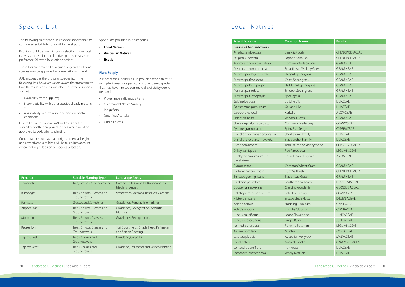| <b>30</b> Landscape Guidelines   Adelaide Airport | Landscape Guidelines   Adelaide Airport 31 |  |
|---------------------------------------------------|--------------------------------------------|--|

## Species List

| <b>Precinct</b>     | <b>Suitable Planting Type</b>              | <b>Landscape Areas</b>                                            |  |
|---------------------|--------------------------------------------|-------------------------------------------------------------------|--|
| <b>Terminals</b>    | Tree, Grasses, Groundcovers                | Garden Beds, Carparks, Roundabouts,<br>Medians, Verges            |  |
| Burbridge           | Trees, Shrubs, Grasses and<br>Groundcovers | Street trees, Medians, Reserves, Gardens                          |  |
| Runways             | <b>Grasses and Samphires</b>               | Grasslands, Runway linemarking                                    |  |
| Airport East        | Trees, Shrubs, Grasses and<br>Groundcovers | Grasslands, Revegetation, Acoustic<br><b>Mounds</b>               |  |
| Morphett            | Trees, Shrubs, Grasses and<br>Groundcovers | Grasslands, Revegetation                                          |  |
| Recreation          | Trees, Shrubs, Grasses and<br>Groundcovers | Turf Sportsfields, Shade Trees, Perimeter<br>and Screen Planting. |  |
| <b>Tapleys East</b> | Trees, Grasses and<br>Groundcovers         | Grassland, Carparks                                               |  |
| <b>Tapleys West</b> | Trees, Grasses and<br>Groundcovers         | Grassland, Perimeter and Screen Planting                          |  |

The following plant schedules provide species that are considered suitable for use within the airport.

Priority should be given to plant selections from local natives species. Non-local native species are a second preference followed by exotic selections.

These lists are provided as a guide only and additional species may be approved in consultation with AAL.

AAL encourages the choice of species from the following lists, however we are aware that from time to time there are problems with the use of these species such as:

- • availability from suppliers;
- incompatibility with other species already present; and
- • unsuitability in certain soil and environmental conditions.

Due to the factors above, AAL will consider the suitability of other proposed species which must be approved by AAL prior to planting.

Considerations such as plant origin, potential height and attractiveness to birds will be taken into account when making a decision on species selection.

Species are provided in 3 categories:

- • **Local Natives**
- • **Australian Natives**
- • **Exotic**

#### **Plant Supply**

A list of plant suppliers is also provided who can assist with plant selections particularly for endemic species that may have limited commercial availability due to demand.

- • Provenance Indigenous Plants
- • Coromandel Native Nursery
- Indigeflora
- • Greening Australia
- • Urban Forests

| <b>Scientific Name</b><br><b>Common Name</b> |                               | <b>Family</b>         |
|----------------------------------------------|-------------------------------|-----------------------|
| <b>Grasses + Groundcovers</b>                |                               |                       |
| Atriplex semibaccata                         | <b>Berry Saltbush</b>         | <b>CHENOPODIACEAE</b> |
| Atriplex suberecta                           | Lagoon Saltbush               | CHENOPODIACEAE        |
| Austrodanthonia caespitosa                   | <b>Common Wallaby Grass</b>   | <b>GRAMINEAE</b>      |
| Austrodanthonia setacea                      | Smallflower Wallaby Grass     | <b>GRAMINEAE</b>      |
| Austrostipa elegantissima                    | Elegant Spear-grass           | <b>GRAMINEAE</b>      |
| Austrostipa flavescens                       | Coast Spear-grass             | <b>GRAMINEAE</b>      |
| Austrostipa hemipogon                        | Half-beard Spear-grass        | <b>GRAMINEAE</b>      |
| Austrostipa nodosa                           | Smooth Spear-grass            | <b>GRAMINEAE</b>      |
| Austrostipa trichophylla                     | Spear grass                   | <b>GRAMINEAE</b>      |
| <b>Bulbine bulbosa</b>                       | <b>Bulbine Lily</b>           | <b>LILIACEAE</b>      |
| Calostemma purpureum                         | <b>Garland Lily</b>           | <b>LILIACEAE</b>      |
| Carpobrotus rossii                           | Karkalla                      | <b>AIZOACEAE</b>      |
| Chloris truncata                             | <b>Windmill Grass</b>         | <b>GRAMINEAE</b>      |
| Chrysocephalum apiculatum                    | Common Everlasting            | <b>COMPOSITAE</b>     |
| Cyperus gymnocaulos                          | Spiny Flat-Sedge              | CYPERACEAE            |
| Dianella revoluta var. brevicaulis           | Short-stem Flax-lily          | <b>LILIACEAE</b>      |
| Dianella revoluta var. revoluta              | <b>Black-anther Flax-lily</b> | <b>LILIACEAE</b>      |
| Dichondra repens                             | Tom Thumb or Kidney Weed      | CONVULVULACEAE        |
| Dillwynia hispida                            | Red Parrot-pea                | LEGUMINOSAE           |
| Disphyma crassifolium ssp.<br>clavellatum    | Round-leaved Pigface          | <b>AIZOACEAE</b>      |
| Elymus scaber                                | <b>Common Wheat-Grass</b>     | <b>GRAMINEAE</b>      |
| Enchylaena tomentosa                         | Ruby Saltbush                 | CHENOPODIACEAE        |
| Enneapogon nigricans                         | <b>Black-head Grass</b>       | <b>GRAMINEAE</b>      |
| Frankenia pauciflora                         | Southern Sea-heath            | <b>FRANKENIACEAE</b>  |
| Goodenia amplexans                           | Clasping Goodenia             | <b>GOODENIACEAE</b>   |
| Helichrysum leucopsideum                     | Satin Everlasting             | <b>COMPOSITAE</b>     |
| Hibbertia riparia                            | <b>Erect Guinea Flower</b>    | <b>DILLENIACEAE</b>   |
| Isolepis cernua                              | Nodding Club-rush             | CYPERACEAE            |
| Isolepis nodosa                              | Knobby Club-rush              | CYPERACEAE            |
| Juncus pauciflorus                           | Loose Flower-rush             | <b>JUNCACEAE</b>      |
| Juncus subsecundus                           | Finger Rush                   | <b>JUNCACEAE</b>      |
| Kennedia prostrata                           | Running Postman               | LEGUMINOSAE           |
| Kunzea pomifera                              | <b>Muntries</b>               | <b>MYRTACEAE</b>      |
| Lavatera plebeia                             | Australian Hollylock          | <b>MALVACEAE</b>      |
| Lobelia alata                                | Angled Lobelia                | CAMPANULACEAE         |
| Lomandra densiflora                          | Iron-grass                    | <b>LILIACEAE</b>      |
| Lomandra leucocephala                        | <b>Wooly Matrush</b>          | <b>LILIACEAE</b>      |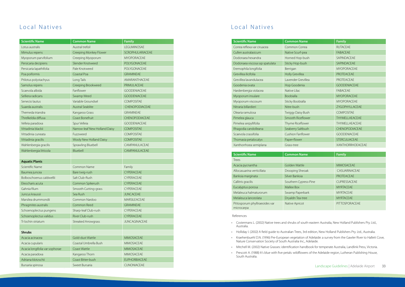| <b>Scientific Name</b>         | <b>Common Name</b>                         | <b>Family</b>        |  |
|--------------------------------|--------------------------------------------|----------------------|--|
| Lotus australis                | Austral trefoil                            | LEGUMINOSAE          |  |
| Mimulus repens                 | Creeping Monkey Flower                     | SCROPHULARIACEAE     |  |
| Myoporum parvifolium           | Creeping Myoporum                          | <b>MYOPORACEAE</b>   |  |
| Persicaria decipiens           | Slender Knotweed                           | POLYGONACEAE         |  |
| Persicaria lapathifolia        | Pale Knotweed                              | POLYGONACEAE         |  |
| Poa poiformis                  | Coastal Poa                                | <b>GRAMINEAE</b>     |  |
| Ptilotus polystachyus          | Long Tails                                 | AMARANTHACEAE        |  |
| Samolus repens                 | Creeping Brookweed                         | PRIMULACEAE          |  |
| Scaevola albida                | Fanflower                                  | <b>GOODENIACEAE</b>  |  |
| Selliera radicans              | Swamp Weed                                 | <b>GOODENIACEAE</b>  |  |
| Senecio lautus                 | Variable Groundsel                         | <b>COMPOSITAE</b>    |  |
| Suaeda australis               | <b>Austral Seablite</b>                    | CHENOPODIACEAE       |  |
| Themeda triandra               | Kangaroo Grass                             | <b>GRAMINEAE</b>     |  |
| Threlkeldia diffusa            | Coast Bonefruit                            | CHENOPODIACEAE       |  |
| Velleia paradoxa               | Spur Velleia                               | <b>GOODENIACEAE</b>  |  |
| Vittadinia blackii             | Narrow-leaf New Holland Daisy              | <b>COMPOSITAE</b>    |  |
| Vittadinia cuneata             | Fuzzweed                                   | <b>COMPOSITAE</b>    |  |
| Vittadinia gracilis            | Wooly New Holland Daisy                    | <b>COMPOSITAE</b>    |  |
| Wahlenbergia gracilis          | Sprawling Bluebell                         | CAMPANULACEAE        |  |
| Wahlenbergia litticola         | Bluebell                                   | CAMPANULACEAE        |  |
|                                |                                            |                      |  |
| <b>Aquatic Plants</b>          |                                            |                      |  |
| Scientific Name                | Common Name                                | Family               |  |
| Baumea juncea                  | Bare twig-rush                             | CYPERACEAE           |  |
| Bolboschoenus caldwellii       | Salt Club-Rush<br>CYPERACEAE               |                      |  |
| Eleocharis acuta               | Common Spikerush                           | CYPERACEAE           |  |
| Gahnia filum                   | Smooth Cutting-grass                       | CYPERACEAE           |  |
| Juncus kraussii                | Sea Rush                                   | <b>JUNCACEAE</b>     |  |
| Marsilea drummondii            | Common Nardoo                              | MARSILEACEAE         |  |
| Phragmites australis           | Common Reed                                | <b>GRAMINEAE</b>     |  |
| Schoenoplectus pungens         | Sharp-leaf Club-rush                       | CYPERACEAE           |  |
| Schoenoplectus validus         | River Club-rush                            | CYPERACEAE           |  |
| Tr lochin striatum             | Streaked Arrowgrass                        | <b>JUNCAGINACEAE</b> |  |
|                                |                                            |                      |  |
| <b>Shrubs</b>                  |                                            |                      |  |
| Acacia acinacea                | Gold-dust Wattle                           | <b>MIMOSACEAE</b>    |  |
| Acacia cupularis               | Coastal Umbrella Bush<br><b>MIMOSACEAE</b> |                      |  |
| Acacia longifolia var sophorae | Coast Wattle<br><b>MIMOSACEAE</b>          |                      |  |
| Acacia paradoxa                | Kangaroo Thorn<br><b>MIMOSACEAE</b>        |                      |  |
| Adriana klotzschii             | Coast Bitter-bush<br><b>EUPHORBIACEAE</b>  |                      |  |
| Bursaria spinosa               | Sweet Bursaria                             | CUNONIACEAE          |  |

### Local Natives

#### References

- • Costermans L. (2002) Native trees and shrubs of south-eastern Australia, New Holland Publishers Pty. Ltd., Australia.
- Holliday I. (2002) A field guide to Australian Trees, 3rd edition, New Holland Publishers Pty. Ltd., Australia.
- • Kraehenbuehl D.N. (1996) Pre-European vegetation of Adelaide: a survey from the Gawler River to Hallett Cove, Nature Conservation Society of South Australia Inc., Adelaide.
- Mitchell M. (2002) Native Grasses: identification handbook for temperate Australia, Landlink Press, Victoria.
- • Prescott A. (1988) It's blue with five petals: wildflowers of the Adelaide region, Lutheran Publishing House, South Australia.

| <b>Scientific Name</b>         | <b>Common Name</b>       | <b>Family</b>           |
|--------------------------------|--------------------------|-------------------------|
| Correa reflexa var ciruacea    | Common Correa            | <b>RUTACEAE</b>         |
| Cullen australasicum           | Native Scurf-pea         | <b>FABACEAE</b>         |
| Dodonaea hexandra              | Horned Hop-bush          | SAPINDACEAE             |
| Dodonaea viscosa ssp spatulata | Sticky Hop-bush          | SAPINDACEAE             |
| Eremophila longifolia          | Berrigan                 | <b>MYOPORACEAE</b>      |
| Grevillea ilicifolia           | <b>Holly Grevillea</b>   | PROTEACEAE              |
| Grevillea lavandulacea         | Lavender Grevillea       | PROTEACEAE              |
| Goodenia ovata                 | Hop Goodenia             | <b>GOODENIACEAE</b>     |
| Hardenbergia violacea          | Native Lilac             | <b>FABACEAE</b>         |
| Myoporum insulare              | Boobialla                | <b>MYOPORACEAE</b>      |
| Myoporum viscosum              | Sticky Boobialla         | <b>MYOPORACEAE</b>      |
| Nitraria billardieri           | Nitre-bush               | ZYGOPHYLLACEAE          |
| Olearia ramulosa               | Twiggy Daisy Bush        | <b>COMPOSITAE</b>       |
| Pimelea glauca                 | Smooth Riceflower        | THYMELLAEACEAE          |
| Pimelea serpyllifolia          | Thyme Riceflower         | THYMELLAEACEAE          |
| Rhagodia candolleana           | Seaberry Saltbush        | CHENOPODIACEAE          |
| Scaevola crassifolia           | <b>Cushion Fanflower</b> | <b>GOODENIACEAE</b>     |
| Thomasia petalocalyx           | Paper-flower             | STERCULIACEAE           |
| Xanthorrhoea semiplana         | Grass-tree               | <b>XANTHORRHOEACEAE</b> |
|                                |                          |                         |
| <b>Scientific Name</b>         | <b>Common Name</b>       | <b>Family</b>           |
| <b>Trees</b>                   |                          |                         |
| Acacia pycnantha               | Golden Wattle            | <b>MIMOSACEAE</b>       |
| Allocasuarina verticillata     | Drooping Sheoak          | CASUARINACEAE           |
| Banksia marginata              | Silver Banksia           | PROTEACEAE              |
| Callitris gracilis             | Southern Cypress-Pine    | CUPRESSACEAE            |
| Eucalyptus porosa              | Mallee Box               | <b>MYRTACEAE</b>        |
| Melaleuca halmaturorum         | Swamp Paperbark          | <b>MYRTACEAE</b>        |
| Melaleuca lanceolata           | Dryaldn Tea-tree         | <b>MYRTACEAE</b>        |
| Pittosporum phylliraeoides var | Native Apricot           | PITTOSPORACEAE          |

Pittosporum phylliraeoides var microcarpa

### Local Natives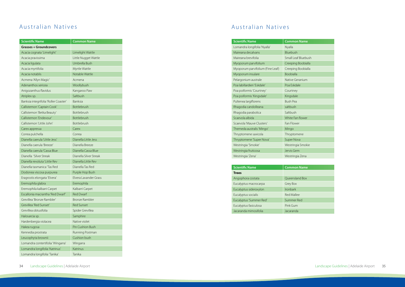### Australian Natives

| <b>Scientific Name</b>                | <b>Common Name</b>     |
|---------------------------------------|------------------------|
| <b>Grasses + Groundcovers</b>         |                        |
| Acacia cognata 'Limelight'            | Limelight Wattle       |
| Acacia pravissima                     | Little Nugget Wattle   |
| Acacia ligulata                       | Umbrella Bush          |
| Acacia myrtifolia                     | Myrtle Wattle          |
| Acacia notablis                       | Notable Wattle         |
| Acmena 'Allyn Magic'                  | Acmena                 |
| Adenanthos sericea                    | Woollybush             |
| Anigozanthus flavidus                 | Kangaroo Paw           |
| Atriplex sp.                          | Saltbush               |
| Banksia integrifolia 'Roller Coaster' | <b>Banksia</b>         |
| Callistemon 'Captain Cook'            | Bottlebrush            |
| Callistemon 'Betka Beauty'            | Bottlebrush            |
| Callistemon 'Endevour'                | Bottlebrush            |
| Callistemon 'Little John'             | Bottlebrush            |
| Carex appressa                        | Carex                  |
| Correa pulchella                      | Correa                 |
| Dianella caerula 'Little Jess'        | Dianella Little Jess   |
| Dianella caerula 'Breeze'             | Dianella Breeze        |
| Dianella caerula 'Cassa Blue          | Dianella Cassa Blue    |
| Dianella 'Silver Streak               | Dianella Silver Streak |
| Dianella revoluta 'Little Rev         | Dianella Little Rev    |
| Dianella tasmanica 'Tas Red           | Dianella Tas Red       |
| Dodonea viscosa purpurea              | Purple Hop Bush        |
| Eragrostis elongata 'Elvera'          | Elvera Lavander Grass  |
| Eremophila glabra                     | Eremophila             |
| Eremophila kalbarri Carpet            | Kalbarri Carpet        |
| Escallonia macrantha 'Red Dwarf'      | <b>Red Dwarf</b>       |
| Grevillea 'Bronze Rambler'            | <b>Bronze Rambler</b>  |
| Grevillea 'Red Sunset'                | <b>Red Sunset</b>      |
| Grevillea obtusifolia                 | Spider Grevillea       |
| Halosarcia sp.                        | Samphire               |
| Hardenbergia violacea                 | Native violet          |
| Hakea rugosa                          | Pin Cushion Bush       |
| Kennedia prostrata                    | Running Postman        |
| Leucophyta brownii                    | Cushion bush           |
| Lomandra contertifolia 'Wingarra'     | Wingarra               |
| Lomandra longifolia 'Katrinus'        | Katrinus               |
| Lomandra longifolia 'Tanika'          | Tanika                 |

## Australian Natives

| <b>Scientific Name</b>           | <b>Common Name</b>  |
|----------------------------------|---------------------|
| Lomandra longifolia 'Nyalla'     | Nyalla              |
| Maireana decalvans               | Bluebush            |
| Maireana brevifolia              | Small Leaf Bluebush |
| Myoporum parvifolium             | Creeping Boobialla  |
| Myoporum parvifolium (Fine Leaf) | Creeping Boobialla  |
| Myoporum insulare                | <b>Boobialla</b>    |
| Pelargonium australe             | Native Geranium     |
| Poa labillardieri 'Eskdale'      | Poa Eskdale         |
| Poa poiformis 'Courtney'         | Courtney            |
| Poa poiformis 'Kingsdale'        | Kingsdale           |
| Pultenea largiflorens            | <b>Bush Pea</b>     |
| Rhagodia candolleana             | saltbush            |
| Rhagodia parabolica              | Saltbush            |
| Scaevola albida                  | White Fan flower    |
| Scaevola 'Mauve Clusters'        | <b>Fan Flower</b>   |
| Themeda australis 'Mingo'        | Mingo               |
| Thryptomene saxicola             | Thryptomene         |
| Thryptomene 'Super Nova'         | <b>Super Nova</b>   |
| Westringia 'Smokie'              | Westringia Smokie   |
| Westringia fruticosa             | Jervis Gem          |
| Westringia 'Zena'                | Westringia Zena     |

| <b>Scientific Name</b>  | <b>Common Name</b> |
|-------------------------|--------------------|
| <b>Trees</b>            |                    |
| Angophora costata       | Queensland Box     |
| Eucalyptus macrocarpa   | Grey Box           |
| Eucalyptus sideroxylon  | Ironbark           |
| Eucalyptus socialis     | <b>Red Mallee</b>  |
| Eucalyptus 'Summer Red' | Summer Red         |
| Eucalyptus fasiculosa   | Pink Gum           |
| Jacaranda mimosifolia   | Jacaranda          |

| e    |  |  |
|------|--|--|
|      |  |  |
|      |  |  |
| push |  |  |
|      |  |  |
| alla |  |  |
| alla |  |  |
|      |  |  |
| n    |  |  |
|      |  |  |
|      |  |  |
|      |  |  |
|      |  |  |
|      |  |  |
|      |  |  |
|      |  |  |
| er.  |  |  |
|      |  |  |
|      |  |  |
|      |  |  |
|      |  |  |
| kie  |  |  |
|      |  |  |
|      |  |  |
| j    |  |  |
|      |  |  |
| e    |  |  |
|      |  |  |
| K    |  |  |
|      |  |  |
|      |  |  |
|      |  |  |
|      |  |  |
|      |  |  |
|      |  |  |
|      |  |  |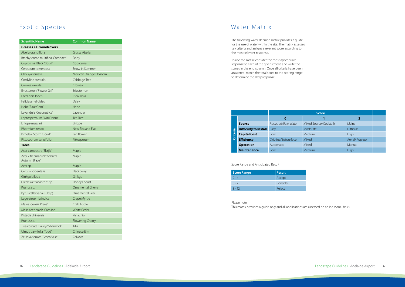# Exotic Species

| <b>Scientific Name</b>                         | <b>Common Name</b>            |
|------------------------------------------------|-------------------------------|
| <b>Grasses + Groundcovers</b>                  |                               |
| Abelia grandiflora                             | Glossy Abelia                 |
| Brachyscome multifida 'Compact'                | Daisy                         |
| Coprosma 'Black Cloud'                         | Coprosma                      |
| Cerastium tomentosa                            | Snow in Summer                |
| Choisya ternata                                | <b>Mexican Orange Blossom</b> |
| Cordyline australis                            | Cabbage Tree                  |
| Crowea exalata                                 | Crowea                        |
| Eriostemon 'Flower Girl'                       | Eriostemon                    |
| Escallonia laevis                              | Escallonia                    |
| Felicia amelloides                             | Daisy                         |
| Hebe 'Blue Gem'                                | Hebe                          |
| Lavandula 'Coconut Ice'                        | Lavender                      |
| Leptospermum 'Wiri Donna'                      | Tea Tree                      |
| Liriope muscari                                | Liriope                       |
| Phormium tenax                                 | New Zealand Flax              |
| Pimelea 'Storm Cloud'                          | Fan flower                    |
| Pittosporum tenuifolium                        | Pittosporum                   |
| <b>Trees</b>                                   |                               |
| Acer campestre 'Elsrijk'                       | Maple                         |
| Acer x freemanii 'Jeffersred'<br>Autumn Blaze' | Maple                         |
| Acer sp.                                       | Maple                         |
| Celtis occidentalis                            | Hackberry                     |
| Ginkgo biloba                                  | Ginkgo                        |
| Gleditsia triacanthos sp.                      | Honey Locust                  |
| Prunus sp.                                     | Ornamental Cherry             |
| Pyrus calleryana (subsp)                       | Ornamental Pear               |
| Lagerstroemia indica                           | Crepe Myrtle                  |
| Malus ioensis 'Plena'                          | Crab Apple                    |
| Melia azederach 'Caroline'                     | <b>White Cedar</b>            |
| Pistacia chinensis                             | Pistachio                     |
| Prunus sp.                                     | <b>Flowering Cherry</b>       |
| Tilia cordata 'Baileyi' Shamrock               | Tilia                         |
| Ulmus parvifolia 'Todd'                        | Chinese Elm                   |
| Zelkova serrata 'Green Vase'                   | Zelkova                       |

### Water Matrix

|          |                              | <b>Score</b>        |                         |                  |  |
|----------|------------------------------|---------------------|-------------------------|------------------|--|
|          |                              | 0                   |                         |                  |  |
| Criteria | <b>Source</b>                | Recycled/Rain Water | Mixed Source (Cocktail) | Mains            |  |
|          | <b>Difficulty to Install</b> | Easy                | Moderate                | <b>Difficult</b> |  |
|          | <b>Capital Cost</b>          | Low                 | Medium                  | High             |  |
|          | <b>Efficiency</b>            | Dripline/Subsurface | Mixed                   | Aerial/Pop-up    |  |
|          | <b>Operation</b>             | Automatic           | Mixed                   | Manual           |  |
|          | <b>Maintenance</b>           | Low                 | Medium                  | High             |  |

#### Score Range and Anticipated Result

| <b>Score Range</b> | <b>Result</b> |
|--------------------|---------------|
| $0 - 4$            | Accept        |
| $5 - 7$            | Consider      |
| $8 - 12$           | Reject        |

Please note:

This matrix provides a guide only and all applications are assessed on an individual basis.

The following water decision matrix provides a guide for the use of water within the site. The matrix assesses key criteria and assigns a relevant score according to the most relevant response.

To use the matrix consider the most appropriate response to each of the given criteria and write the scores in the end column. Once all criteria have been answered, match the total score to the scoring range to determine the likely response.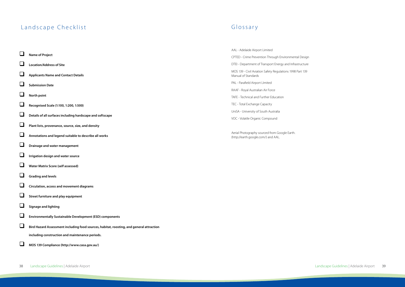### Landscape Checklist

|          | <b>Name of Project</b>                                                                   |
|----------|------------------------------------------------------------------------------------------|
|          | <b>Location/Address of Site</b>                                                          |
|          | <b>Applicants Name and Contact Details</b>                                               |
|          | <b>Submission Date</b>                                                                   |
|          | North point                                                                              |
|          | Recognised Scale (1:100, 1:200, 1:500)                                                   |
|          | Details of all surfaces including hardscape and softscape                                |
| $\sqcup$ | Plant lists, provenance, source, size, and density                                       |
|          | Annotations and legend suitable to describe all works                                    |
|          | Drainage and water management                                                            |
|          | Irrigation design and water source                                                       |
|          | <b>Water Matrix Score (self assessed)</b>                                                |
|          | <b>Grading and levels</b>                                                                |
|          | Circulation, access and movement diagrams                                                |
|          | Street furniture and play equipment                                                      |
|          | <b>Signage and lighting</b>                                                              |
|          | <b>Environmentally Sustainable Development (ESD) components</b>                          |
|          | Bird Hazard Assessment including food sources, habitat, roosting, and general attraction |
|          | including construction and maintenance periods.                                          |
|          | MOS 139 Compliance (http://www.casa.gov.au/)                                             |

### Glossary

AAL - Adelaide Airport Limited CPTED - Crime Prevention Through Environmental Design DTEI - Department of Transport Energy and Infrastructure MOS 139 - Civil Aviation Safety Regulations 1998 Part 139 Manual of Standards PAL - Parafield Airport LImited RAAF - Royal Australian Air Force TAFE - Technical and Further Education TEC - Total Exchange Capacity UniSA - University of South Australia VOC - Volatile Organic Compound

Aerial Photography sourced from Google Earth. (http://earth.google.com/) and AAL.